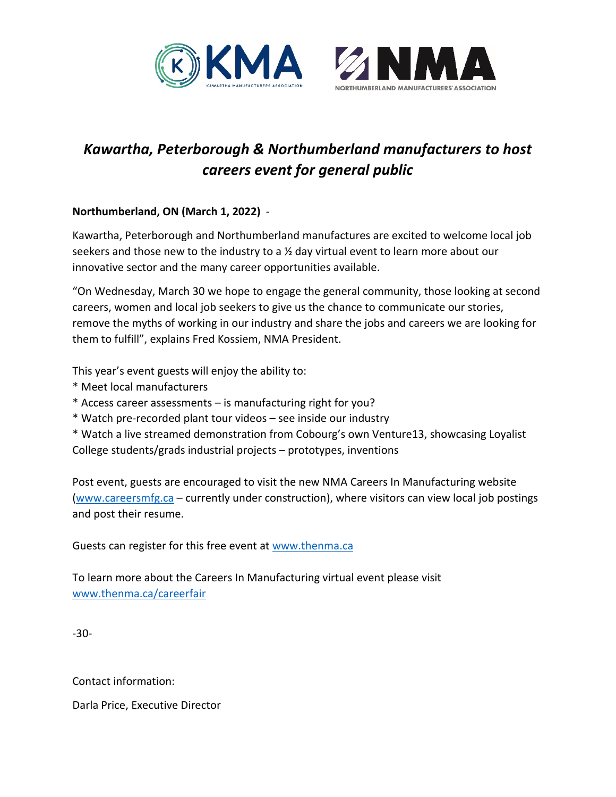



## *Kawartha, Peterborough & Northumberland manufacturers to host careers event for general public*

## **Northumberland, ON (March 1, 2022)** -

Kawartha, Peterborough and Northumberland manufactures are excited to welcome local job seekers and those new to the industry to a  $\frac{1}{2}$  day virtual event to learn more about our innovative sector and the many career opportunities available.

"On Wednesday, March 30 we hope to engage the general community, those looking at second careers, women and local job seekers to give us the chance to communicate our stories, remove the myths of working in our industry and share the jobs and careers we are looking for them to fulfill", explains Fred Kossiem, NMA President.

This year's event guests will enjoy the ability to:

- \* Meet local manufacturers
- \* Access career assessments is manufacturing right for you?
- \* Watch pre-recorded plant tour videos see inside our industry
- \* Watch a live streamed demonstration from Cobourg's own Venture13, showcasing Loyalist College students/grads industrial projects – prototypes, inventions

Post event, guests are encouraged to visit the new NMA Careers In Manufacturing website [\(www.careersmfg.ca](http://www.careersmfg.ca/) – currently under construction), where visitors can view local job postings and post their resume.

Guests can register for this free event a[t www.thenma.ca](http://www.thenma.ca/) 

To learn more about the Careers In Manufacturing virtual event please visit [www.thenma.ca/careerfair](http://www.thenma.ca/careerfair)

-30-

Contact information:

Darla Price, Executive Director